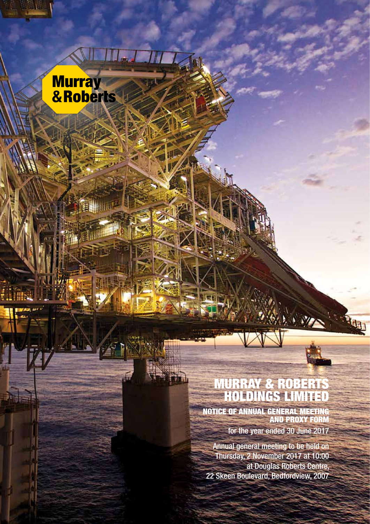# **Murray<br>& Roberts**

# MURRAY & ROBERTS HOLDINGS LIMITED

NOTICE OF ANNUAL GENERAL MEETING AND PROXY FORM

for the year ended 30 June 2017

Annual general meeting to be held on Thursday, 2 November 2017 at 10:00 at Douglas Roberts Centre, 22 Skeen Boulevard, Bedfordview, 2007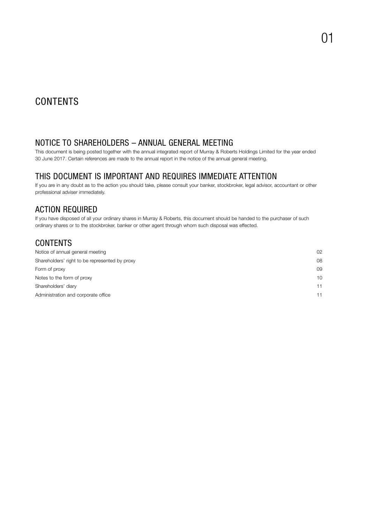# CONTENTS

## NOTICE TO SHAREHOLDERS – ANNUAL GENERAL MEETING

This document is being posted together with the annual integrated report of Murray & Roberts Holdings Limited for the year ended 30 June 2017. Certain references are made to the annual report in the notice of the annual general meeting.

## THIS DOCUMENT IS IMPORTANT AND REQUIRES IMMEDIATE ATTENTION

If you are in any doubt as to the action you should take, please consult your banker, stockbroker, legal advisor, accountant or other professional adviser immediately.

## ACTION REQUIRED

If you have disposed of all your ordinary shares in Murray & Roberts, this document should be handed to the purchaser of such ordinary shares or to the stockbroker, banker or other agent through whom such disposal was effected.

## **CONTENTS**

| Notice of annual general meeting               | 02             |
|------------------------------------------------|----------------|
| Shareholders' right to be represented by proxy | 08             |
| Form of proxy                                  | O <sub>9</sub> |
| Notes to the form of proxy                     | 10             |
| Shareholders' diary                            | 11             |
| Administration and corporate office            | 11             |
|                                                |                |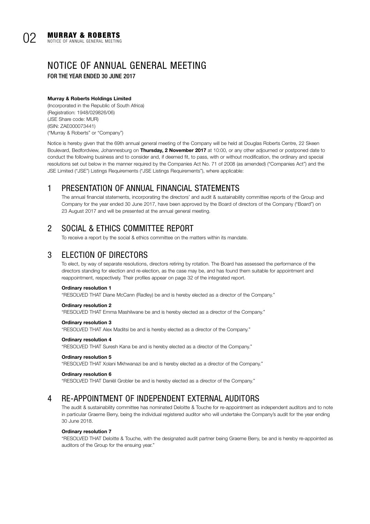## NOTICE OF ANNUAL GENERAL MEETING FOR THE YEAR ENDED 30 JUNE 2017

#### Murray & Roberts Holdings Limited

(Incorporated in the Republic of South Africa) (Registration: 1948/029826/06) (JSE Share code: MUR) (ISIN: ZAE000073441) ("Murray & Roberts" or "Company")

Notice is hereby given that the 69th annual general meeting of the Company will be held at Douglas Roberts Centre, 22 Skeen Boulevard, Bedfordview, Johannesburg on Thursday, 2 November 2017 at 10:00, or any other adjourned or postponed date to conduct the following business and to consider and, if deemed fit, to pass, with or without modification, the ordinary and special resolutions set out below in the manner required by the Companies Act No. 71 of 2008 (as amended) ("Companies Act") and the JSE Limited ("JSE") Listings Requirements ("JSE Listings Requirements"), where applicable:

## 1 PRESENTATION OF ANNUAL FINANCIAL STATEMENTS

 The annual financial statements, incorporating the directors' and audit & sustainability committee reports of the Group and Company for the year ended 30 June 2017, have been approved by the Board of directors of the Company ("Board") on 23 August 2017 and will be presented at the annual general meeting.

## 2 SOCIAL & ETHICS COMMITTEE REPORT

To receive a report by the social & ethics committee on the matters within its mandate.

## 3 ELECTION OF DIRECTORS

 To elect, by way of separate resolutions, directors retiring by rotation. The Board has assessed the performance of the directors standing for election and re-election, as the case may be, and has found them suitable for appointment and reappointment, respectively. Their profiles appear on page 32 of the integrated report.

#### Ordinary resolution 1

"RESOLVED THAT Diane McCann (Radley) be and is hereby elected as a director of the Company."

#### Ordinary resolution 2

"RESOLVED THAT Emma Mashilwane be and is hereby elected as a director of the Company."

#### Ordinary resolution 3

"RESOLVED THAT Alex Maditsi be and is hereby elected as a director of the Company."

#### Ordinary resolution 4

"RESOLVED THAT Suresh Kana be and is hereby elected as a director of the Company."

#### Ordinary resolution 5

"RESOLVED THAT Xolani Mkhwanazi be and is hereby elected as a director of the Company."

#### Ordinary resolution 6

"RESOLVED THAT Daniël Grobler be and is hereby elected as a director of the Company."

## 4 RE-APPOINTMENT OF INDEPENDENT EXTERNAL AUDITORS

 The audit & sustainability committee has nominated Deloitte & Touche for re-appointment as independent auditors and to note in particular Graeme Berry, being the individual registered auditor who will undertake the Company's audit for the year ending 30 June 2018.

#### Ordinary resolution 7

 "RESOLVED THAT Deloitte & Touche, with the designated audit partner being Graeme Berry, be and is hereby re-appointed as auditors of the Group for the ensuing year."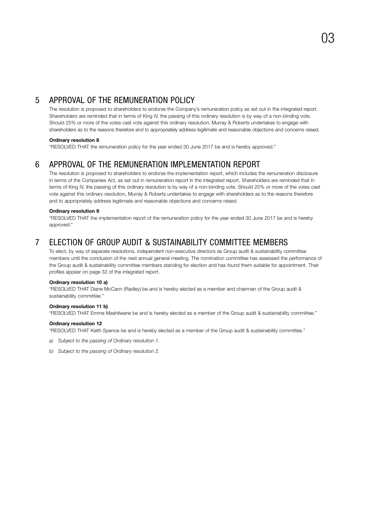## 5 APPROVAL OF THE REMUNERATION POLICY

 The resolution is proposed to shareholders to endorse the Company's remuneration policy as set out in the integrated report. Shareholders are reminded that in terms of King IV, the passing of this ordinary resolution is by way of a non-binding vote. Should 25% or more of the votes cast vote against this ordinary resolution, Murray & Roberts undertakes to engage with shareholders as to the reasons therefore and to appropriately address legitimate and reasonable objections and concerns raised.

#### Ordinary resolution 8

"RESOLVED THAT the remuneration policy for the year ended 30 June 2017 be and is hereby approved."

## 6 APPROVAL OF THE REMUNERATION IMPLEMENTATION REPORT

The resolution is proposed to shareholders to endorse the implementation report, which includes the remuneration disclosure in terms of the Companies Act, as set out in remuneration report in the integrated report. Shareholders are reminded that in terms of King IV, the passing of this ordinary resolution is by way of a non-binding vote. Should 25% or more of the votes cast vote against this ordinary resolution, Murray & Roberts undertakes to engage with shareholders as to the reasons therefore and to appropriately address legitimate and reasonable objections and concerns raised.

#### Ordinary resolution 9

 "RESOLVED THAT the implementation report of the remuneration policy for the year ended 30 June 2017 be and is hereby approved."

## 7 ELECTION OF GROUP AUDIT & SUSTAINABILITY COMMITTEE MEMBERS

 To elect, by way of separate resolutions, independent non-executive directors as Group audit & sustainability committee members until the conclusion of the next annual general meeting. The nomination committee has assessed the performance of the Group audit & sustainability committee members standing for election and has found them suitable for appointment. Their profiles appear on page 32 of the integrated report.

#### Ordinary resolution 10 a)

 "RESOLVED THAT Diane McCann (Radley) be and is hereby elected as a member and chairman of the Group audit & sustainability committee."

#### Ordinary resolution 11 b)

"RESOLVED THAT Emma Mashilwane be and is hereby elected as a member of the Group audit & sustainability committee."

#### Ordinary resolution 12

"RESOLVED THAT Keith Spence be and is hereby elected as a member of the Group audit & sustainability committee."

- *a) Subject to the passing of Ordinary resolution 1.*
- *b) Subject to the passing of Ordinary resolution 2.*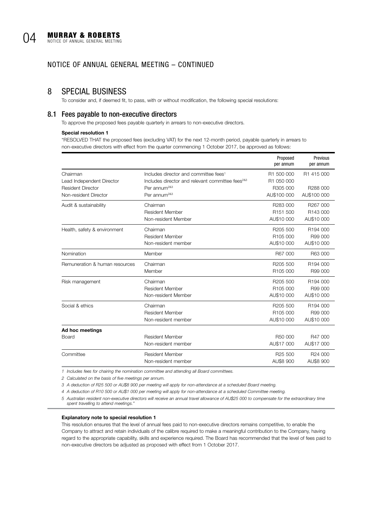## NOTICE OF ANNUAL GENERAL MEETING – CONTINUED

## 8 SPECIAL BUSINESS

To consider and, if deemed fit, to pass, with or without modification, the following special resolutions:

#### 8.1 Fees payable to non-executive directors

To approve the proposed fees payable quarterly in arrears to non-executive directors.

#### Special resolution 1

 "RESOLVED THAT the proposed fees (excluding VAT) for the next 12-month period, payable quarterly in arrears to non-executive directors with effect from the quarter commencing 1 October 2017, be approved as follows:

|                                |                                                                  | Proposed<br>per annum | Previous<br>per annum |
|--------------------------------|------------------------------------------------------------------|-----------------------|-----------------------|
| Chairman                       | Includes director and committee fees <sup>1</sup>                | R1 500 000            | R1 415 000            |
| Lead Independent Director      | Includes director and relevant committee fees <sup>2&amp;3</sup> | R1 050 000            |                       |
| <b>Resident Director</b>       | Per annum <sup>2&amp;3</sup>                                     | R305 000              | R288 000              |
| Non-resident Director          | Per annum <sup>2&amp;3</sup>                                     | AU\$100 000           | AU\$100 000           |
| Audit & sustainability         | Chairman                                                         | R283 000              | R267 000              |
|                                | <b>Resident Member</b>                                           | R <sub>151</sub> 500  | R143 000              |
|                                | Non-resident Member                                              | AU\$10 000            | AU\$10 000            |
| Health, safety & environment   | Chairman                                                         | R205 500              | R194 000              |
|                                | <b>Resident Member</b>                                           | R105 000              | R99 000               |
|                                | Non-resident member                                              | AU\$10 000            | AU\$10 000            |
| Nomination                     | Member                                                           | R67 000               | R63 000               |
| Remuneration & human resources | Chairman                                                         | R <sub>205</sub> 500  | R <sub>194</sub> 000  |
|                                | Member                                                           | R <sub>105</sub> 000  | R99 000               |
| Risk management                | Chairman                                                         | R <sub>205</sub> 500  | R <sub>194</sub> 000  |
|                                | Resident Member                                                  | R105 000              | R99 000               |
|                                | Non-resident Member                                              | AU\$10 000            | AU\$10 000            |
| Social & ethics                | Chairman                                                         | R <sub>205</sub> 500  | R194 000              |
|                                | <b>Resident Member</b>                                           | R105 000              | R99 000               |
|                                | Non-resident member                                              | AU\$10 000            | AU\$10 000            |
| Ad hoc meetings                |                                                                  |                       |                       |
| Board                          | <b>Resident Member</b>                                           | R50 000               | R47 000               |
|                                | Non-resident member                                              | AU\$17 000            | AU\$17 000            |
| Committee                      | <b>Resident Member</b>                                           | R <sub>25</sub> 500   | R24 000               |
|                                | Non-resident member                                              | AU\$8 900             | AU\$8 900             |

*1 Includes fees for chairing the nomination committee and attending all Board committees.*

*2 Calculated on the basis of five meetings per annum.*

*3 A deduction of R25 500 or AU\$8 900 per meeting will apply for non-attendance at a scheduled Board meeting.*

*4 A deduction of R10 500 or AU\$1 000 per meeting will apply for non-attendance at a scheduled Committee meeting.*

*5 Australian resident non-executive directors will receive an annual travel allowance of AU\$25 000 to compensate for the extraordinary time spent travelling to attend meetings."* 

#### Explanatory note to special resolution 1

 This resolution ensures that the level of annual fees paid to non-executive directors remains competitive, to enable the Company to attract and retain individuals of the calibre required to make a meaningful contribution to the Company, having regard to the appropriate capability, skills and experience required. The Board has recommended that the level of fees paid to non-executive directors be adjusted as proposed with effect from 1 October 2017.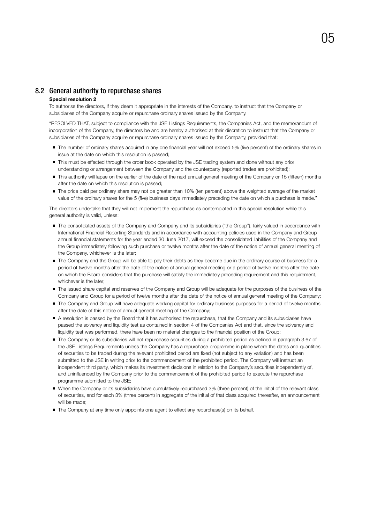#### 8.2 General authority to repurchase shares

#### Special resolution 2

 To authorise the directors, if they deem it appropriate in the interests of the Company, to instruct that the Company or subsidiaries of the Company acquire or repurchase ordinary shares issued by the Company.

 "RESOLVED THAT, subject to compliance with the JSE Listings Requirements, the Companies Act, and the memorandum of incorporation of the Company, the directors be and are hereby authorised at their discretion to instruct that the Company or subsidiaries of the Company acquire or repurchase ordinary shares issued by the Company, provided that:

- The number of ordinary shares acquired in any one financial year will not exceed 5% (five percent) of the ordinary shares in issue at the date on which this resolution is passed;
- This must be effected through the order book operated by the JSE trading system and done without any prior understanding or arrangement between the Company and the counterparty (reported trades are prohibited);
- This authority will lapse on the earlier of the date of the next annual general meeting of the Company or 15 (fifteen) months after the date on which this resolution is passed;
- The price paid per ordinary share may not be greater than 10% (ten percent) above the weighted average of the market value of the ordinary shares for the 5 (five) business days immediately preceding the date on which a purchase is made."

 The directors undertake that they will not implement the repurchase as contemplated in this special resolution while this general authority is valid, unless:

- The consolidated assets of the Company and Company and its subsidiaries ("the Group"), fairly valued in accordance with International Financial Reporting Standards and in accordance with accounting policies used in the Company and Group annual financial statements for the year ended 30 June 2017, will exceed the consolidated liabilities of the Company and the Group immediately following such purchase or twelve months after the date of the notice of annual general meeting of the Company, whichever is the later;
- The Company and the Group will be able to pay their debts as they become due in the ordinary course of business for a period of twelve months after the date of the notice of annual general meeting or a period of twelve months after the date on which the Board considers that the purchase will satisfy the immediately preceding requirement and this requirement, whichever is the later;
- The issued share capital and reserves of the Company and Group will be adequate for the purposes of the business of the Company and Group for a period of twelve months after the date of the notice of annual general meeting of the Company;
- The Company and Group will have adequate working capital for ordinary business purposes for a period of twelve months after the date of this notice of annual general meeting of the Company;
- A resolution is passed by the Board that it has authorised the repurchase, that the Company and its subsidiaries have passed the solvency and liquidity test as contained in section 4 of the Companies Act and that, since the solvency and liquidity test was performed, there have been no material changes to the financial position of the Group;
- The Company or its subsidiaries will not repurchase securities during a prohibited period as defined in paragraph 3.67 of the JSE Listings Requirements unless the Company has a repurchase programme in place where the dates and quantities of securities to be traded during the relevant prohibited period are fixed (not subject to any variation) and has been submitted to the JSE in writing prior to the commencement of the prohibited period. The Company will instruct an independent third party, which makes its investment decisions in relation to the Company's securities independently of, and uninfluenced by the Company prior to the commencement of the prohibited period to execute the repurchase programme submitted to the JSE;
- When the Company or its subsidiaries have cumulatively repurchased 3% (three percent) of the initial of the relevant class of securities, and for each 3% (three percent) in aggregate of the initial of that class acquired thereafter, an announcement will be made;
- The Company at any time only appoints one agent to effect any repurchase(s) on its behalf.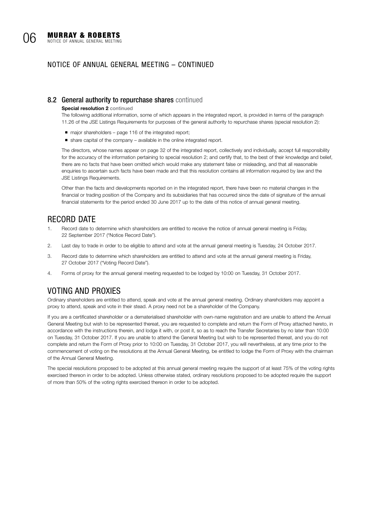## NOTICE OF ANNUAL GENERAL MEETING – CONTINUED

#### 8.2 General authority to repurchase shares continued

#### Special resolution 2 continued

 The following additional information, some of which appears in the integrated report, is provided in terms of the paragraph 11.26 of the JSE Listings Requirements for purposes of the general authority to repurchase shares (special resolution 2):

- major shareholders page 116 of the integrated report;
- share capital of the company available in the online integrated report.

 The directors, whose names appear on page 32 of the integrated report, collectively and individually, accept full responsibility for the accuracy of the information pertaining to special resolution 2; and certify that, to the best of their knowledge and belief, there are no facts that have been omitted which would make any statement false or misleading, and that all reasonable enquiries to ascertain such facts have been made and that this resolution contains all information required by law and the JSE Listings Requirements.

 Other than the facts and developments reported on in the integrated report, there have been no material changes in the financial or trading position of the Company and its subsidiaries that has occurred since the date of signature of the annual financial statements for the period ended 30 June 2017 up to the date of this notice of annual general meeting.

## RECORD DATE

- 1. Record date to determine which shareholders are entitled to receive the notice of annual general meeting is Friday, 22 September 2017 ("Notice Record Date").
- 2. Last day to trade in order to be eligible to attend and vote at the annual general meeting is Tuesday, 24 October 2017.
- 3. Record date to determine which shareholders are entitled to attend and vote at the annual general meeting is Friday, 27 October 2017 ("Voting Record Date").
- 4. Forms of proxy for the annual general meeting requested to be lodged by 10:00 on Tuesday, 31 October 2017.

## VOTING AND PROXIES

Ordinary shareholders are entitled to attend, speak and vote at the annual general meeting. Ordinary shareholders may appoint a proxy to attend, speak and vote in their stead. A proxy need not be a shareholder of the Company.

If you are a certificated shareholder or a dematerialised shareholder with own-name registration and are unable to attend the Annual General Meeting but wish to be represented thereat, you are requested to complete and return the Form of Proxy attached hereto, in accordance with the instructions therein, and lodge it with, or post it, so as to reach the Transfer Secretaries by no later than 10:00 on Tuesday, 31 October 2017. If you are unable to attend the General Meeting but wish to be represented thereat, and you do not complete and return the Form of Proxy prior to 10:00 on Tuesday, 31 October 2017, you will nevertheless, at any time prior to the commencement of voting on the resolutions at the Annual General Meeting, be entitled to lodge the Form of Proxy with the chairman of the Annual General Meeting.

The special resolutions proposed to be adopted at this annual general meeting require the support of at least 75% of the voting rights exercised thereon in order to be adopted. Unless otherwise stated, ordinary resolutions proposed to be adopted require the support of more than 50% of the voting rights exercised thereon in order to be adopted.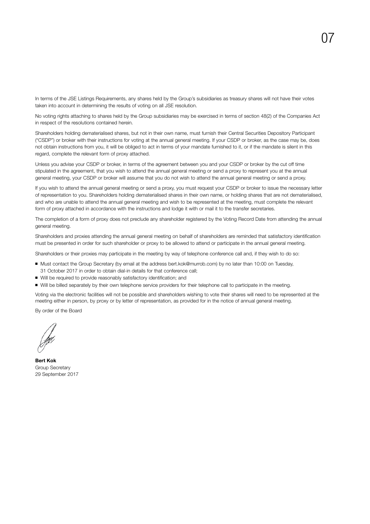In terms of the JSE Listings Requirements, any shares held by the Group's subsidiaries as treasury shares will not have their votes taken into account in determining the results of voting on all JSE resolution.

No voting rights attaching to shares held by the Group subsidiaries may be exercised in terms of section 48(2) of the Companies Act in respect of the resolutions contained herein.

Shareholders holding dematerialised shares, but not in their own name, must furnish their Central Securities Depository Participant ("CSDP") or broker with their instructions for voting at the annual general meeting. If your CSDP or broker, as the case may be, does not obtain instructions from you, it will be obliged to act in terms of your mandate furnished to it, or if the mandate is silent in this regard, complete the relevant form of proxy attached.

Unless you advise your CSDP or broker, in terms of the agreement between you and your CSDP or broker by the cut off time stipulated in the agreement, that you wish to attend the annual general meeting or send a proxy to represent you at the annual general meeting, your CSDP or broker will assume that you do not wish to attend the annual general meeting or send a proxy.

If you wish to attend the annual general meeting or send a proxy, you must request your CSDP or broker to issue the necessary letter of representation to you. Shareholders holding dematerialised shares in their own name, or holding shares that are not dematerialised, and who are unable to attend the annual general meeting and wish to be represented at the meeting, must complete the relevant form of proxy attached in accordance with the instructions and lodge it with or mail it to the transfer secretaries.

The completion of a form of proxy does not preclude any shareholder registered by the Voting Record Date from attending the annual general meeting.

Shareholders and proxies attending the annual general meeting on behalf of shareholders are reminded that satisfactory identification must be presented in order for such shareholder or proxy to be allowed to attend or participate in the annual general meeting.

Shareholders or their proxies may participate in the meeting by way of telephone conference call and, if they wish to do so:

- Must contact the Group Secretary (by email at the address bert.kok@murrob.com) by no later than 10:00 on Tuesday, 31 October 2017 in order to obtain dial-in details for that conference call;
- Will be required to provide reasonably satisfactory identification; and
- Will be billed separately by their own telephone service providers for their telephone call to participate in the meeting.

Voting via the electronic facilities will not be possible and shareholders wishing to vote their shares will need to be represented at the meeting either in person, by proxy or by letter of representation, as provided for in the notice of annual general meeting.

By order of the Board

Bert Kok Group Secretary 29 September 2017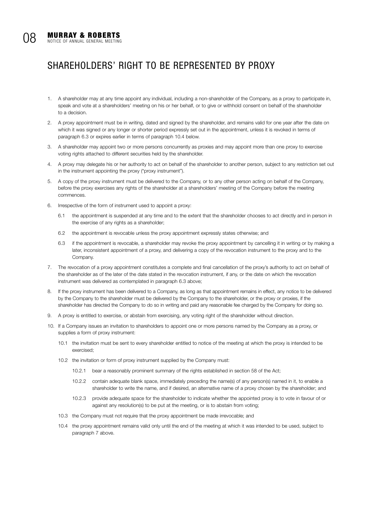# SHAREHOLDERS' RIGHT TO BE REPRESENTED BY PROXY

- 1. A shareholder may at any time appoint any individual, including a non-shareholder of the Company, as a proxy to participate in, speak and vote at a shareholders' meeting on his or her behalf, or to give or withhold consent on behalf of the shareholder to a decision.
- 2. A proxy appointment must be in writing, dated and signed by the shareholder, and remains valid for one year after the date on which it was signed or any longer or shorter period expressly set out in the appointment, unless it is revoked in terms of paragraph 6.3 or expires earlier in terms of paragraph 10.4 below.
- 3. A shareholder may appoint two or more persons concurrently as proxies and may appoint more than one proxy to exercise voting rights attached to different securities held by the shareholder.
- 4. A proxy may delegate his or her authority to act on behalf of the shareholder to another person, subject to any restriction set out in the instrument appointing the proxy ("proxy instrument").
- 5. A copy of the proxy instrument must be delivered to the Company, or to any other person acting on behalf of the Company, before the proxy exercises any rights of the shareholder at a shareholders' meeting of the Company before the meeting commences.
- 6. Irrespective of the form of instrument used to appoint a proxy:
	- 6.1 the appointment is suspended at any time and to the extent that the shareholder chooses to act directly and in person in the exercise of any rights as a shareholder;
	- 6.2 the appointment is revocable unless the proxy appointment expressly states otherwise; and
	- 6.3 if the appointment is revocable, a shareholder may revoke the proxy appointment by cancelling it in writing or by making a later, inconsistent appointment of a proxy, and delivering a copy of the revocation instrument to the proxy and to the Company.
- 7. The revocation of a proxy appointment constitutes a complete and final cancellation of the proxy's authority to act on behalf of the shareholder as of the later of the date stated in the revocation instrument, if any, or the date on which the revocation instrument was delivered as contemplated in paragraph 6.3 above;
- If the proxy instrument has been delivered to a Company, as long as that appointment remains in effect, any notice to be delivered by the Company to the shareholder must be delivered by the Company to the shareholder, or the proxy or proxies, if the shareholder has directed the Company to do so in writing and paid any reasonable fee charged by the Company for doing so.
- 9. A proxy is entitled to exercise, or abstain from exercising, any voting right of the shareholder without direction.
- 10. If a Company issues an invitation to shareholders to appoint one or more persons named by the Company as a proxy, or supplies a form of proxy instrument:
	- 10.1 the invitation must be sent to every shareholder entitled to notice of the meeting at which the proxy is intended to be exercised;
	- 10.2 the invitation or form of proxy instrument supplied by the Company must:
		- 10.2.1 bear a reasonably prominent summary of the rights established in section 58 of the Act;
		- 10.2.2 contain adequate blank space, immediately preceding the name(s) of any person(s) named in it, to enable a shareholder to write the name, and if desired, an alternative name of a proxy chosen by the shareholder; and
		- 10.2.3 provide adequate space for the shareholder to indicate whether the appointed proxy is to vote in favour of or against any resolution(s) to be put at the meeting, or is to abstain from voting;
	- 10.3 the Company must not require that the proxy appointment be made irrevocable; and
	- 10.4 the proxy appointment remains valid only until the end of the meeting at which it was intended to be used, subject to paragraph 7 above.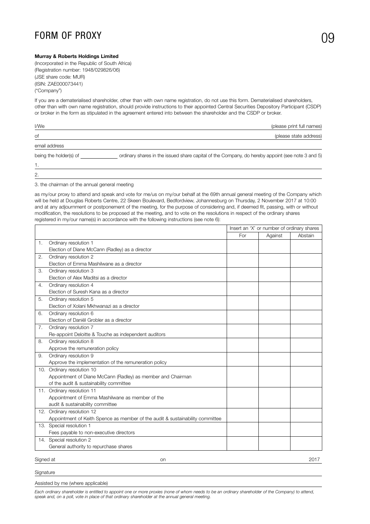# FORM OF PROXY

#### Murray & Roberts Holdings Limited

(Incorporated in the Republic of South Africa) (Registration number: 1948/029826/06) (JSE share code: MUR) (ISIN: ZAE000073441) ("Company")

If you are a dematerialised shareholder, other than with own name registration, do not use this form. Dematerialised shareholders, other than with own name registration, should provide instructions to their appointed Central Securities Depository Participant (CSDP) or broker in the form as stipulated in the agreement entered into between the shareholder and the CSDP or broker.

| I/We                   | (please print full names)                                                                        |
|------------------------|--------------------------------------------------------------------------------------------------|
| 0f                     | (please state address)                                                                           |
| email address          |                                                                                                  |
| being the holder(s) of | ordinary shares in the issued share capital of the Company, do hereby appoint (see note 3 and 5) |
|                        |                                                                                                  |

2.

#### 3. the chairman of the annual general meeting

as my/our proxy to attend and speak and vote for me/us on my/our behalf at the 69th annual general meeting of the Company which will be held at Douglas Roberts Centre, 22 Skeen Boulevard, Bedfordview, Johannesburg on Thursday, 2 November 2017 at 10:00 and at any adjournment or postponement of the meeting, for the purpose of considering and, if deemed fit, passing, with or without modification, the resolutions to be proposed at the meeting, and to vote on the resolutions in respect of the ordinary shares registered in my/our name(s) in accordance with the following instructions (see note 6):

|           |                                                                               | Insert an 'X' or number of ordinary shares |         |         |
|-----------|-------------------------------------------------------------------------------|--------------------------------------------|---------|---------|
|           |                                                                               | For                                        | Against | Abstain |
| 1.        | Ordinary resolution 1                                                         |                                            |         |         |
|           | Election of Diane McCann (Radley) as a director                               |                                            |         |         |
| 2.        | Ordinary resolution 2                                                         |                                            |         |         |
|           | Election of Emma Mashilwane as a director                                     |                                            |         |         |
| 3.        | Ordinary resolution 3                                                         |                                            |         |         |
|           | Election of Alex Maditsi as a director                                        |                                            |         |         |
| 4.        | Ordinary resolution 4                                                         |                                            |         |         |
|           | Election of Suresh Kana as a director                                         |                                            |         |         |
| 5.        | Ordinary resolution 5                                                         |                                            |         |         |
|           | Election of Xolani Mkhwanazi as a director                                    |                                            |         |         |
| 6.        | Ordinary resolution 6                                                         |                                            |         |         |
|           | Election of Daniël Grobler as a director                                      |                                            |         |         |
| 7.        | Ordinary resolution 7                                                         |                                            |         |         |
|           | Re-appoint Deloitte & Touche as independent auditors                          |                                            |         |         |
| 8.        | Ordinary resolution 8                                                         |                                            |         |         |
|           | Approve the remuneration policy                                               |                                            |         |         |
| 9.        | Ordinary resolution 9                                                         |                                            |         |         |
|           | Approve the implementation of the remuneration policy                         |                                            |         |         |
|           | 10. Ordinary resolution 10                                                    |                                            |         |         |
|           | Appointment of Diane McCann (Radley) as member and Chairman                   |                                            |         |         |
|           | of the audit & sustainability committee                                       |                                            |         |         |
|           | 11. Ordinary resolution 11                                                    |                                            |         |         |
|           | Appointment of Emma Mashilwane as member of the                               |                                            |         |         |
|           | audit & sustainability committee                                              |                                            |         |         |
|           | 12. Ordinary resolution 12                                                    |                                            |         |         |
|           | Appointment of Keith Spence as member of the audit & sustainability committee |                                            |         |         |
|           | 13. Special resolution 1                                                      |                                            |         |         |
|           | Fees payable to non-executive directors                                       |                                            |         |         |
|           | 14. Special resolution 2                                                      |                                            |         |         |
|           | General authority to repurchase shares                                        |                                            |         |         |
|           |                                                                               |                                            |         |         |
| Signed at | on                                                                            |                                            |         | 2017    |

Signature

Assisted by me (where applicable)

*Each ordinary shareholder is entitled to appoint one or more proxies (none of whom needs to be an ordinary shareholder of the Company) to attend, speak and, on a poll, vote in place of that ordinary shareholder at the annual general meeting.*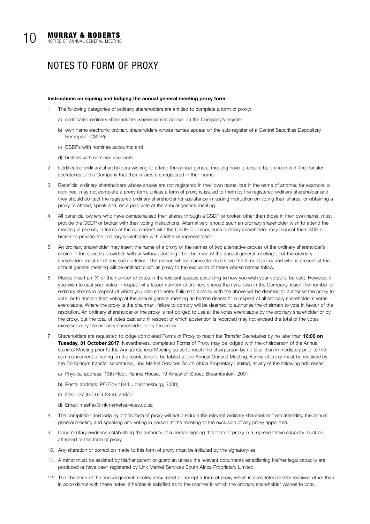# NOTES TO FORM OF PROXY

#### Instructions on signing and lodging the annual general meeting proxy form

- 1. The following categories of ordinary shareholders are entitled to complete a form of proxy:
	- a) certificated ordinary shareholders whose names appear on the Company's register;
	- b) own name electronic ordinary shareholders whose names appear on the sub-register of a Central Securities Depository Participant (CSDP);
	- c) CSDPs with nominee accounts; and
	- d) brokers with nominee accounts.
- 2. Certificated ordinary shareholders wishing to attend the annual general meeting have to ensure beforehand with the transfer secretaries of the Company that their shares are registered in their name.
- 3. Beneficial ordinary shareholders whose shares are not registered in their own name, but in the name of another, for example, a nominee, may not complete a proxy form, unless a form of proxy is issued to them by the registered ordinary shareholder and they should contact the registered ordinary shareholder for assistance in issuing instruction on voting their shares, or obtaining a proxy to attend, speak and, on a poll, vote at the annual general meeting.
- 4. All beneficial owners who have dematerialised their shares through a CSDP or broker, other than those in their own name, must provide the CSDP or broker with their voting instructions. Alternatively, should such an ordinary shareholder wish to attend the meeting in person, in terms of the agreement with the CSDP or broker, such ordinary shareholder may request the CSDP or broker to provide the ordinary shareholder with a letter of representation.
- 5. An ordinary shareholder may insert the name of a proxy or the names of two alternative proxies of the ordinary shareholder's choice in the space/s provided, with or without deleting "the chairman of the annual general meeting", but the ordinary shareholder must initial any such deletion. The person whose name stands first on the form of proxy and who is present at the annual general meeting will be entitled to act as proxy to the exclusion of those whose names follow.
- 6. Please insert an 'X' or the number of votes in the relevant spaces according to how you wish your votes to be cast. However, if you wish to cast your votes in respect of a lesser number of ordinary shares than you own in the Company, insert the number of ordinary shares in respect of which you desire to vote. Failure to comply with the above will be deemed to authorise the proxy to vote, or to abstain from voting at the annual general meeting as he/she deems fit in respect of all ordinary shareholder's votes exercisable. Where the proxy is the chairman, failure to comply will be deemed to authorise the chairman to vote in favour of the resolution. An ordinary shareholder or the proxy is not obliged to use all the votes exercisable by the ordinary shareholder or by the proxy, but the total of votes cast and in respect of which abstention is recorded may not exceed the total of the votes exercisable by the ordinary shareholder or by the proxy.
- 7. Shareholders are requested to lodge completed Forms of Proxy to reach the Transfer Secretaries by no later than 10:00 on Tuesday, 31 October 2017. Nevertheless, completed Forms of Proxy may be lodged with the chairperson of the Annual General Meeting prior to the Annual General Meeting so as to reach the chairperson by no later than immediately prior to the commencement of voting on the resolutions to be tabled at the Annual General Meeting. Forms of proxy must be received by the Company's transfer secretaries, Link Market Services South Africa Proprietary Limited, at any of the following addresses:
	- a) Physical address: 13th Floor, Rennie House, 19 Ameshoff Street, Braamfontein, 2001;
	- b) Postal address: PO Box 4844, Johannesburg, 2000;
	- c) Fax: +27 (86) 674 2450; and/or
	- d) Email: meetfax@linkmarketservices.co.za
- 8. The completion and lodging of this form of proxy will not preclude the relevant ordinary shareholder from attending the annual general meeting and speaking and voting in person at the meeting to the exclusion of any proxy appointed.
- 9. Documentary evidence establishing the authority of a person signing this form of proxy in a representative capacity must be attached to this form of proxy.
- 10. Any alteration or correction made to this form of proxy must be initialled by the signatory/ies.
- 11. A minor must be assisted by his/her parent or guardian unless the relevant documents establishing his/her legal capacity are produced or have been registered by Link Market Services South Africa Proprietary Limited.
- 12. The chairman of the annual general meeting may reject or accept a form of proxy which is completed and/or received other than in accordance with these notes, if he/she is satisfied as to the manner in which the ordinary shareholder wishes to vote.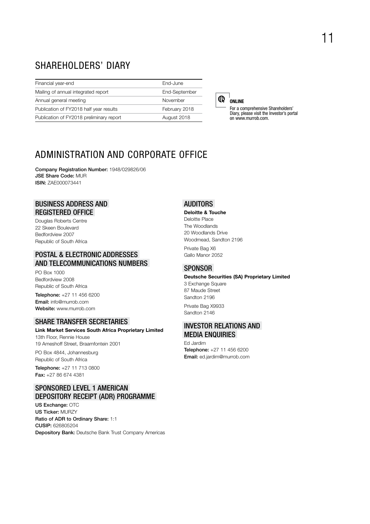# 11

# SHAREHOLDERS' DIARY

| End-June      |
|---------------|
| End-September |
| November      |
| February 2018 |
| August 2018   |
|               |



For a comprehensive Shareholders' Diary, please visit the Investor's portal on www.murrob.com.

## ADMINISTRATION AND CORPORATE OFFICE

Company Registration Number: 1948/029826/06 JSE Share Code: MUR ISIN: ZAE000073441

## BUSINESS ADDRESS AND REGISTERED OFFICE

Douglas Roberts Centre 22 Skeen Boulevard Bedfordview 2007 Republic of South Africa

## POSTAL & ELECTRONIC ADDRESSES AND TELECOMMUNICATIONS NUMBERS

PO Box 1000 Bedfordview 2008 Republic of South Africa

Telephone: +27 11 456 6200 Email: info@murrob.com Website: www.murrob.com

## SHARE TRANSFER SECRETARIES

## Link Market Services South Africa Proprietary Limited

13th Floor, Rennie House 19 Ameshoff Street, Braamfontein 2001

PO Box 4844, Johannesburg Republic of South Africa

Telephone: +27 11 713 0800 Fax: +27 86 674 4381

## SPONSORED LEVEL 1 AMERICAN DEPOSITORY RECEIPT (ADR) PROGRAMME

US Exchange: OTC US Ticker: MURZY Ratio of ADR to Ordinary Share: 1:1 CUSIP: 626805204 Depository Bank: Deutsche Bank Trust Company Americas

## AUDITORS

#### Deloitte & Touche

Deloitte Place The Woodlands 20 Woodlands Drive Woodmead, Sandton 2196 Private Bag X6 Gallo Manor 2052

## **SPONSOR**

Deutsche Securities (SA) Proprietary Limited 3 Exchange Square 87 Maude Street Sandton 2196 Private Bag X9933

Sandton 2146

## INVESTOR RELATIONS AND MEDIA ENQUIRIES

Ed Jardim Telephone: +27 11 456 6200 Email: ed.jardim@murrob.com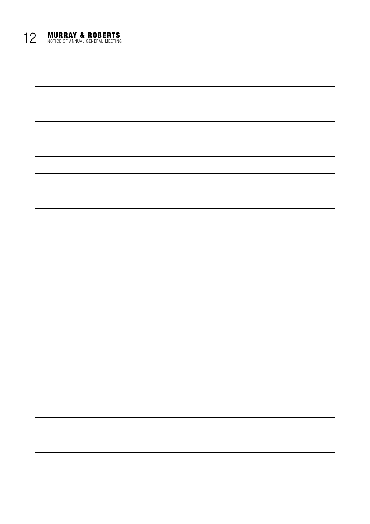| 12 |  | <b>MURRAY &amp; ROBERTS</b> |                                  |
|----|--|-----------------------------|----------------------------------|
|    |  |                             | NOTICE OF ANNUAL GENERAL MEETING |